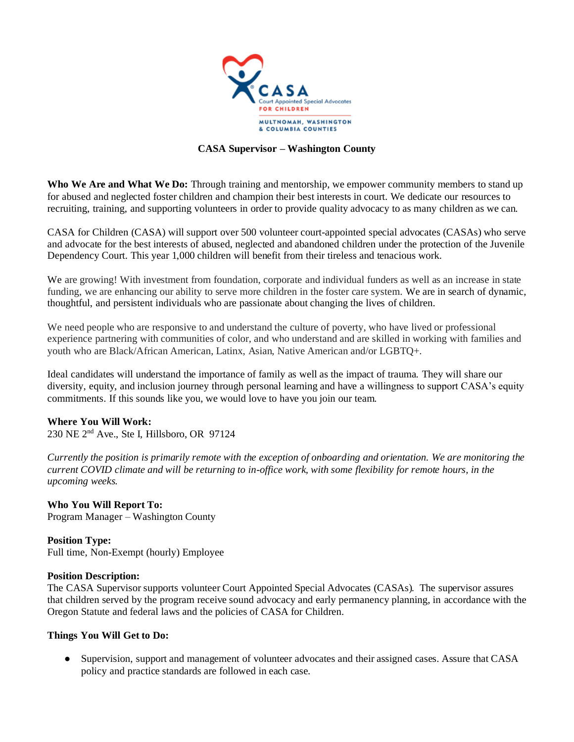

### **CASA Supervisor – Washington County**

**Who We Are and What We Do:** Through training and mentorship, we empower community members to stand up for abused and neglected foster children and champion their best interests in court. We dedicate our resources to recruiting, training, and supporting volunteers in order to provide quality advocacy to as many children as we can.

CASA for Children (CASA) will support over 500 volunteer court-appointed special advocates (CASAs) who serve and advocate for the best interests of abused, neglected and abandoned children under the protection of the Juvenile Dependency Court. This year 1,000 children will benefit from their tireless and tenacious work.

We are growing! With investment from foundation, corporate and individual funders as well as an increase in state funding, we are enhancing our ability to serve more children in the foster care system. We are in search of dynamic, thoughtful, and persistent individuals who are passionate about changing the lives of children.

We need people who are responsive to and understand the culture of poverty, who have lived or professional experience partnering with communities of color, and who understand and are skilled in working with families and youth who are Black/African American, Latinx, Asian, Native American and/or LGBTQ+.

Ideal candidates will understand the importance of family as well as the impact of trauma. They will share our diversity, equity, and inclusion journey through personal learning and have a willingness to support CASA's equity commitments. If this sounds like you, we would love to have you join our team.

### **Where You Will Work:**

230 NE 2nd Ave., Ste I, Hillsboro, OR 97124

*Currently the position is primarily remote with the exception of onboarding and orientation. We are monitoring the current COVID climate and will be returning to in-office work, with some flexibility for remote hours, in the upcoming weeks.*

**Who You Will Report To:** Program Manager – Washington County

**Position Type:** Full time, Non-Exempt (hourly) Employee

### **Position Description:**

The CASA Supervisor supports volunteer Court Appointed Special Advocates (CASAs). The supervisor assures that children served by the program receive sound advocacy and early permanency planning, in accordance with the Oregon Statute and federal laws and the policies of CASA for Children.

### **Things You Will Get to Do:**

● Supervision, support and management of volunteer advocates and their assigned cases. Assure that CASA policy and practice standards are followed in each case.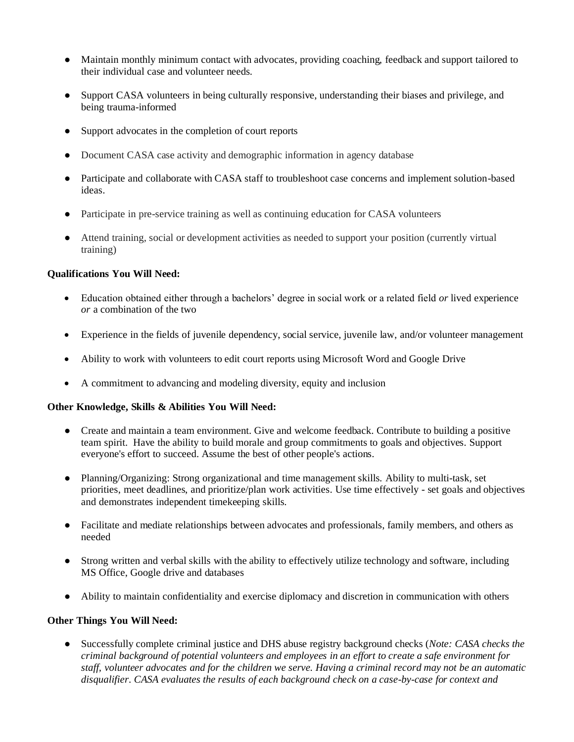- Maintain monthly minimum contact with advocates, providing coaching, feedback and support tailored to their individual case and volunteer needs.
- Support CASA volunteers in being culturally responsive, understanding their biases and privilege, and being trauma-informed
- Support advocates in the completion of court reports
- Document CASA case activity and demographic information in agency database
- Participate and collaborate with CASA staff to troubleshoot case concerns and implement solution-based ideas.
- Participate in pre-service training as well as continuing education for CASA volunteers
- Attend training, social or development activities as needed to support your position (currently virtual training)

## **Qualifications You Will Need:**

- Education obtained either through a bachelors' degree in social work or a related field *or* lived experience *or* a combination of the two
- Experience in the fields of juvenile dependency, social service, juvenile law, and/or volunteer management
- Ability to work with volunteers to edit court reports using Microsoft Word and Google Drive
- A commitment to advancing and modeling diversity, equity and inclusion

### **Other Knowledge, Skills & Abilities You Will Need:**

- Create and maintain a team environment. Give and welcome feedback. Contribute to building a positive team spirit. Have the ability to build morale and group commitments to goals and objectives. Support everyone's effort to succeed. Assume the best of other people's actions.
- Planning/Organizing: Strong organizational and time management skills. Ability to multi-task, set priorities, meet deadlines, and prioritize/plan work activities. Use time effectively - set goals and objectives and demonstrates independent timekeeping skills.
- Facilitate and mediate relationships between advocates and professionals, family members, and others as needed
- Strong written and verbal skills with the ability to effectively utilize technology and software, including MS Office, Google drive and databases
- Ability to maintain confidentiality and exercise diplomacy and discretion in communication with others

### **Other Things You Will Need:**

● Successfully complete criminal justice and DHS abuse registry background checks (*Note: CASA checks the criminal background of potential volunteers and employees in an effort to create a safe environment for staff, volunteer advocates and for the children we serve. Having a criminal record may not be an automatic disqualifier. CASA evaluates the results of each background check on a case-by-case for context and*